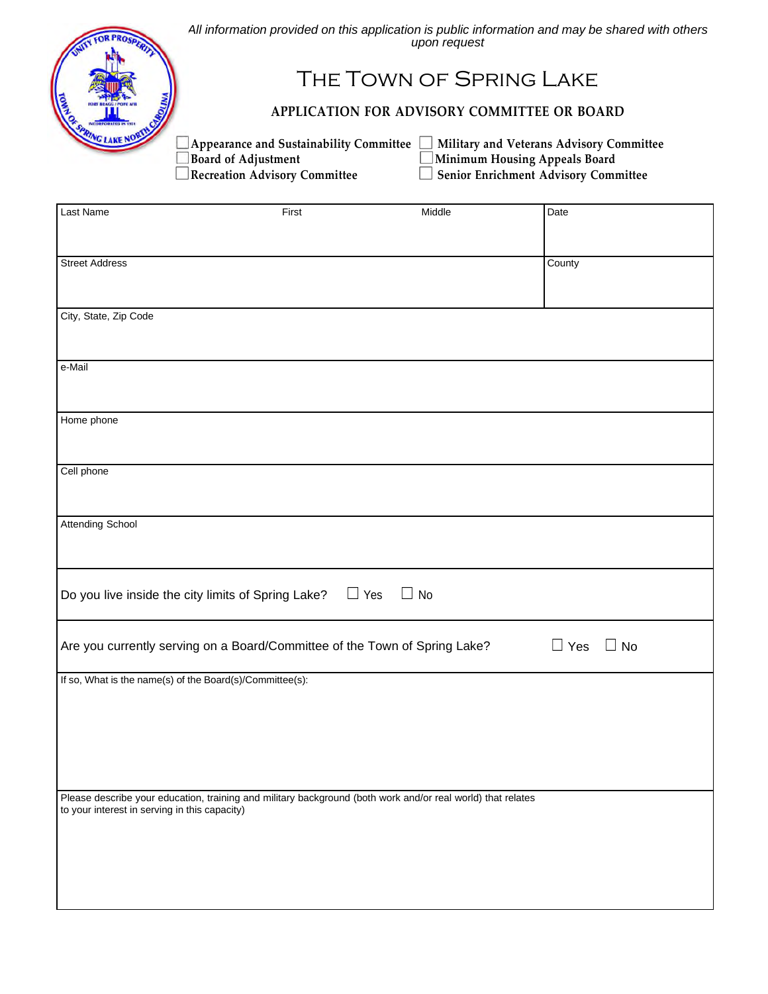

*All information provided on this application is public information and may be shared with others upon request* 

## The Town of Spring Lake

## **APPLICATION FOR ADVISORY COMMITTEE OR BOARD**

■ Board of Adjustment Minimum Housing Appeals Board<br>■ Recreation Advisory Committee Minimum Housing Appeals Board

**■ Appearance and Sustainability Committee ■ Military and Veterans Advisory Committee ■ Board 61 Adjustment ■ Minimum Housing Appeals Board Reprise Benior Enrichment Advisory Committee** 

| Last Name                                                                                                   | First      | Middle    | Date                    |
|-------------------------------------------------------------------------------------------------------------|------------|-----------|-------------------------|
|                                                                                                             |            |           |                         |
|                                                                                                             |            |           |                         |
| <b>Street Address</b>                                                                                       |            |           | County                  |
|                                                                                                             |            |           |                         |
|                                                                                                             |            |           |                         |
| City, State, Zip Code                                                                                       |            |           |                         |
|                                                                                                             |            |           |                         |
|                                                                                                             |            |           |                         |
| e-Mail                                                                                                      |            |           |                         |
|                                                                                                             |            |           |                         |
|                                                                                                             |            |           |                         |
| Home phone                                                                                                  |            |           |                         |
|                                                                                                             |            |           |                         |
|                                                                                                             |            |           |                         |
| Cell phone                                                                                                  |            |           |                         |
|                                                                                                             |            |           |                         |
|                                                                                                             |            |           |                         |
| <b>Attending School</b>                                                                                     |            |           |                         |
|                                                                                                             |            |           |                         |
|                                                                                                             |            |           |                         |
|                                                                                                             |            |           |                         |
| Do you live inside the city limits of Spring Lake?                                                          | $\Box$ Yes | $\Box$ No |                         |
|                                                                                                             |            |           |                         |
|                                                                                                             |            |           |                         |
| Are you currently serving on a Board/Committee of the Town of Spring Lake?                                  |            |           | $\Box$ Yes<br>$\Box$ No |
| If so, What is the name(s) of the Board(s)/Committee(s):                                                    |            |           |                         |
|                                                                                                             |            |           |                         |
|                                                                                                             |            |           |                         |
|                                                                                                             |            |           |                         |
|                                                                                                             |            |           |                         |
|                                                                                                             |            |           |                         |
|                                                                                                             |            |           |                         |
| Please describe your education, training and military background (both work and/or real world) that relates |            |           |                         |
| to your interest in serving in this capacity)                                                               |            |           |                         |
|                                                                                                             |            |           |                         |
|                                                                                                             |            |           |                         |
|                                                                                                             |            |           |                         |
|                                                                                                             |            |           |                         |
|                                                                                                             |            |           |                         |
|                                                                                                             |            |           |                         |